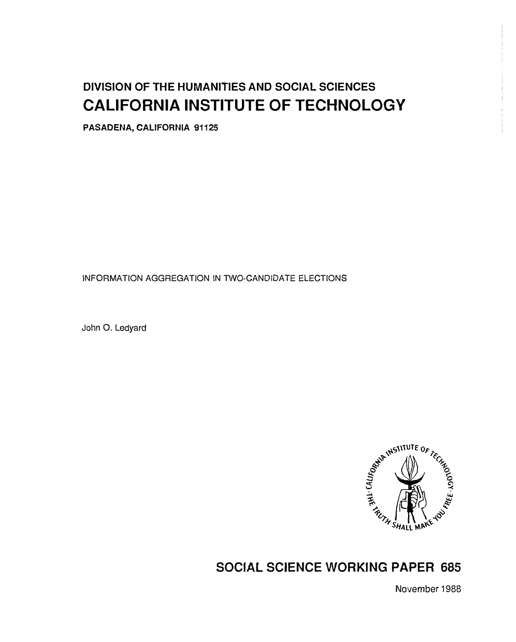# DIVISION OF THE HUMANITIES AND SOCIAL SCIENCES CALIFORNIA INSTITUTE OF TECHNOLOGY

PASADENA, CALIFORNIA 91125

INFORMATION AGGREGATION IN TWO-CANDIDATE ELECTIONS

John 0. Ledyard



# SOCIAL SCIENCE WORKING PAPER 685

November 1988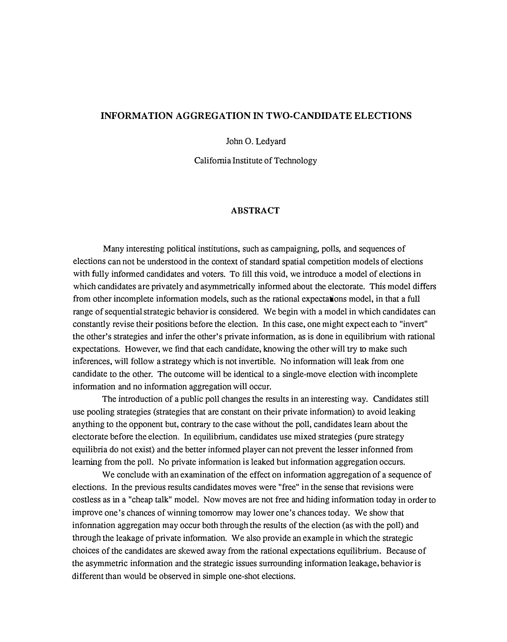# INFORMATION AGGREGATION IN TWO-CANDIDATE ELECTIONS

John 0. Ledyard

California Institute of Technology

## **ABSTRACT**

Many interesting political institutions, such as campaigning, polls, and sequences of elections can not be understood in the context of standard spatial competition models of elections with fully informed candidates and voters. To fill this void, we introduce a model of elections in which candidates are privately and asymmetrically informed about the electorate. This model differs from other incomplete information models, such as the rational expectations model, in that a full range of sequential strategic behavior is considered. We begin with a model in which candidates can constantly revise their positions before the election. In this case, one might expect each to "invert" the other's strategies and infer the other's private information, as is done in equilibrium with rational expectations. However, we find that each candidate, knowing the other will try to make such inferences, will follow a strategy which is not invertible. No information will leak from one candidate to the other. The outcome will be identical to a single-move election with incomplete information and no information aggregation will occur.

The introduction of a public poll changes the results in an interesting way. Candidates still use pooling strategies (strategies that are constant on their private information) to avoid leaking anything to the opponent but, contrary to the case without the poll, candidates learn about the electorate before the election. In equilibrium, candidates use mixed strategies (pure strategy equilibria do not exist) and the better infonned player can not prevent the lesser infonned from learning from the poll. No private information is leaked but infonnation aggregation occurs.

We conclude with an examination of the effect on information aggregation of a sequence of elections. In the previous results candidates moves were "free" in the sense that revisions were costless as in a "cheap talk" model. Now moves are not free and hiding information today in order to improve one's chances of winning tomorrow may lower one's chances today. We show that infonnation aggregation may occur both through the results of the election (as with the poll) and through the leakage of private information. We also provide an example in which the strategic choices of the candidates are skewed away from the rational expectations equilibrium. Because of the asymmetric information and the strategic issues surrounding information leakage, behavior is different than would be observed in simple one-shot elections.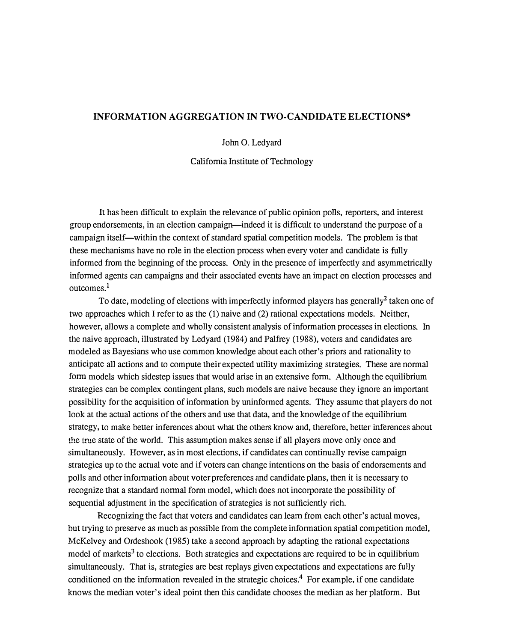# INFORMATION AGGREGATION IN TWO-CANDIDATE ELECTIONS\*

#### John 0. Ledyard

California Institute of Technology

It has been difficult to explain the relevance of public opinion polls, reporters, and interest group endorsements, in an election campaign-indeed it is difficult to understand the purpose of a campaign itself-within the context of standard spatial competition models. The problem is that these mechanisms have no role in the election process when every voter and candidate is fully informed from the beginning of the process. Only in the presence of imperfectly and asymmetrically informed agents can campaigns and their associated events have an impact on election processes and outcomes.<sup>1</sup>

To date, modeling of elections with imperfectly informed players has generally<sup>2</sup> taken one of two approaches which I refer to as the (1) naive and (2) rational expectations models. Neither, however, allows a complete and wholly consistent analysis of information processes in elections. In the naive approach, illustrated by Ledyard (1984) and Palfrey (1988), voters and candidates are modeled as Bayesians who use common knowledge about each other's priors and rationality to anticipate all actions and to compute their expected utility maximizing strategies. These are normal form models which sidestep issues that would arise in an extensive form. Although the equilibrium strategies can be complex contingent plans, such models are naive because they ignore an important possibility for the acquisition of information by uninformed agents. They assume that players do not look at the actual actions of the others and use that data, and the knowledge of the equilibrium strategy, to make better inferences about what the others know and, therefore, better inferences about the true state of the world. This assumption makes sense if all players move only once and simultaneously. However, as in most elections, if candidates can continually revise campaign strategies up to the actual vote and if voters can change intentions on the basis of endorsements and polls and other information about voter preferences and candidate plans, then it is necessary to recognize that a standard normal form model, which does not incorporate the possibility of sequential adjustment in the specification of strategies is not sufficiently rich.

Recognizing the fact that voters and candidates can learn from each other's actual moves, but trying to preserve as much as possible from the complete information spatial competition model, McKelvey and Ordeshook (1985) take a second approach by adapting the rational expectations model of markets<sup>3</sup> to elections. Both strategies and expectations are required to be in equilibrium simultaneously. That is, strategies are best replays given expectations and expectations are fully conditioned on the information revealed in the strategic choices.<sup>4</sup> For example, if one candidate knows the median voter's ideal point then this candidate chooses the median as her platform. But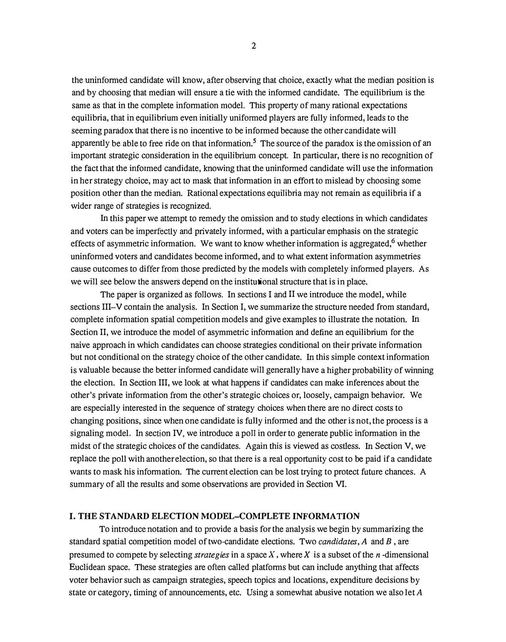the uninformed candidate will know, after observing that choice, exactly what the median position is and by choosing that median will ensure a tie with the informed candidate. The equilibrium is the same as that in the complete information model. This property of many rational expectations equilibria, that in equilibrium even initially uniformed players are fully informed, leads to the seeming paradox that there is no incentive to be informed because the other candidate will apparently be able to free ride on that information.<sup>5</sup> The source of the paradox is the omission of an important strategic consideration in the equilibrium concept. In particular, there is no recognition of the fact that the informed candidate, knowing that the uninformed candidate will use the information in her strategy choice, may act to mask that information in an effort to mislead by choosing some position other than the median. Rational expectations equilibria may not remain as equilibria if a wider range of strategies is recognized.

In this paper we attempt to remedy the omission and to study elections in which candidates and voters can be imperfectly and privately informed, wilh a particular emphasis on the strategic effects of asymmetric information. We want to know whether information is aggregated.<sup>6</sup> whether uninformed voters and candidates become informed, and to what extent information asymmetries cause outcomes to differ from lhose predicted by the models with completely informed players. As we will see below the answers depend on the institutional structure that is in place.

The paper is organized as follows. In sections I and II we introduce lhe model, while sections III-V contain lhe analysis. In Section I, we summarize the structure needed from standard, complete information spatial competition models and give examples to illustrate the notation. In Section II, we introduce the model of asymmetric information and define an equilibrium for the naive approach in which candidates can choose strategies conditional on lheir private information but not conditional on the strategy choice of the other candidate. In this simple context information is valuable because the better informed candidate will generally have a higher probability of winning the election. In Section III, we look at what happens if candidates can make inferences about the other's private information from the olher's strategic choices or, loosely, campaign behavior. We are especially interested in the sequence of strategy choices when there are no direct costs to changing positions, since when one candidate is fully informed and the other is not, the process is a signaling model. In section IV, we introduce a poll in order to generate public information in the midst of the strategic choices of the candidates. Again this is viewed as costless. In Section V, we replace the poll wilh another election, so lhat lhere is a real opportunity cost to be paid if a candidate wants to mask his information. The current election can be lost trying to protect future chances. A summary of all the results and some observations are provided in Section VI.

#### I. THE STANDARD ELECTION MODEL-COMPLETE INFORMATION

To introduce notation and to provide a basis for the analysis we begin by summarizing the standard spatial competition model of two-candidate elections. Two *candidates*, A and B, are presumed to compete by selecting *strategies* in a space X, where X is a subset of the  $n$ -dimensional Euclidean space. These strategies are often called platforms but can include anything that affects voter behavior such as campaign strategies, speech topics and locations, expenditure decisions by state or category, timing of announcements, etc. Using a somewhat abusive notation we also let A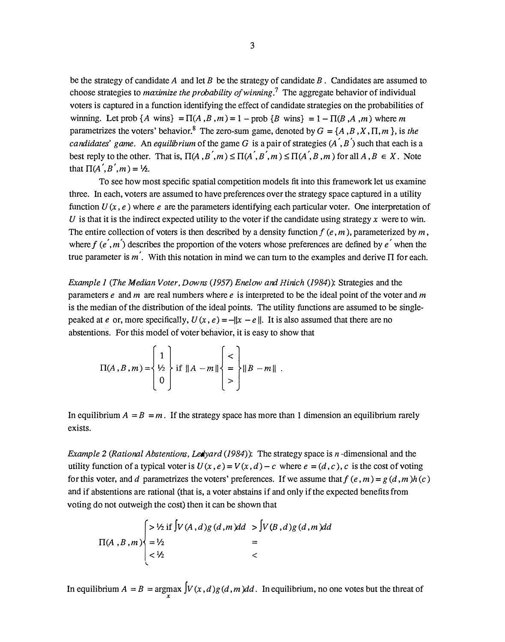be the strategy of candidate A and let B be the strategy of candidate B. Candidates are assumed to choose strategies to *maximize the probability of winning*.<sup>7</sup> The aggregate behavior of individual voters is captured in a function identifying the effect of candidate strategies on the probabilities of winning. Let prob  $\{A \text{ wins}\} = \Pi(A, B, m) = 1 - \text{prob} \{B \text{ wins}\} = 1 - \Pi(B, A, m)$  where m parametrizes the voters' behavior.<sup>8</sup> The zero-sum game, denoted by  $G = \{A, B, X, \Pi, m\}$ , is the candidates' game. An equilibrium of the game G is a pair of strategies  $(A', B')$  such that each is a best reply to the other. That is,  $\Pi(A, B', m) \le \Pi(A', B', m) \le \Pi(A', B, m)$  for all  $A, B \in X$ . Note that  $\Pi(A', B', m) = \frac{1}{2}$ .

To see how most specific spatial competition models fit into this framework let us examine three. In each, voters are assumed to have preferences over the strategy space captured in a utility function  $U(x, e)$  where e are the parameters identifying each particular voter. One interpretation of U is that it is the indirect expected utility to the voter if the candidate using strategy  $x$  were to win. The entire collection of voters is then described by a density function  $f(e, m)$ , parameterized by m, where  $f(e', m')$  describes the proportion of the voters whose preferences are defined by  $e'$  when the true parameter is  $m'$ . With this notation in mind we can turn to the examples and derive  $\Pi$  for each.

Example 1 (The Median Voter, Downs (1957) Enelow and Hinich (1984)): Strategies and the parameters e and m are real numbers where  $e$  is interpreted to be the ideal point of the voter and m is the median of the distribution of the ideal points. The utility functions are assumed to be singlepeaked at e or, more specifically,  $U(x, e) = -||x - e||$ . It is also assumed that there are no abstentions. For this model of voter behavior, it is easy to show that

$$
\Pi(A, B, m) = \begin{cases} 1 \\ \frac{1}{2} \\ 0 \end{cases} \text{ if } ||A - m|| \begin{cases} < \\ = \\ > \end{cases} ||B - m||.
$$

In equilibrium  $A = B = m$ . If the strategy space has more than 1 dimension an equilibrium rarely exists.

*Example 2 (Rational Abstentions, Ledyard (1984)):* The strategy space is *n*-dimensional and the utility function of a typical voter is  $U(x, e) = V(x, d) - c$  where  $e = (d, c)$ , c is the cost of voting for this voter, and d parametrizes the voters' preferences. If we assume that  $f(e, m) = g(d, m)h(c)$ and if abstentions are rational (that is, a voter abstains if and only if the expected benefits from voting do not outweigh the cost) then it can be shown that

$$
\Pi(A,B,m) \begin{cases} > \frac{1}{2} \text{ if } \int V(A,d)g\,(d,m)dd > \int V(B,d)g\,(d,m)da \\ &= \frac{1}{2} \\ < \frac{1}{2} \end{cases}
$$

In equilibrium  $A = B = \underset{x}{\argmax} \int V(x, d)g(d, m)dd$ . In equilibrium, no one votes but the threat of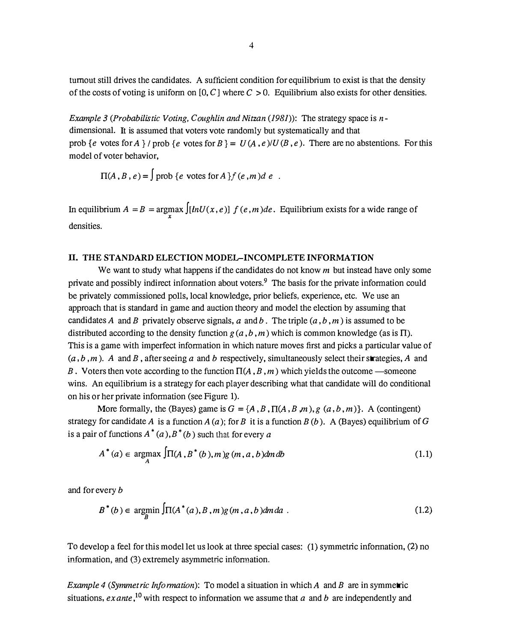turnout still drives the candidates. A sufficient condition for equilibrium to exist is that the density of the costs of voting is uniform on  $[0, C]$  where  $C > 0$ . Equilibrium also exists for other densities.

Example 3 (Probabilistic Voting, Coughlin and Nitzan (1981)): The strategy space is  $n$ dimensional. It is assumed that voters vote randomly but systematically and that prob { e votes for A } I prob { e votes for B } =  $U(A, e)/U(B, e)$ . There are no abstentions. For this model of voter behavior,

$$
\Pi(A, B, e) = \int \text{prob} \{e \text{ votes for } A\} f(e, m) d e.
$$

In equilibrium  $A = B = \underset{x}{\argmax} \int [lnU(x, e)] f(e, m)de$ . Equilibrium exists for a wide range of densities.

# II. THE STANDARD ELECTION MODEL-INCOMPLETE INFORMATION

We want to study what happens if the candidates do not know  $m$  but instead have only some private and possibly indirect information about voters.<sup>9</sup> The basis for the private information could be privately commissioned polls, local knowledge, prior beliefs, experience, etc. We use an approach that is standard in game and auction theory and model the election by assuming that candidates A and B privately observe signals, a and b. The triple  $(a, b, m)$  is assumed to be distributed according to the density function  $g(a, b, m)$  which is common knowledge (as is  $\Pi$ ). This is a game with imperfect infonnation in which nature moves first and picks a particular value of  $(a, b, m)$ . A and B, after seeing a and b respectively, simultaneously select their strategies, A and B. Voters then vote according to the function  $\Pi(A, B, m)$  which yields the outcome —someone wins. An equilibrium is a strategy for each player describing what that candidate will do conditional on his or her private infonnation (see Figure 1).

More formally, the (Bayes) game is  $G = \{A, B, \Pi(A, B, m), g(a, b, m)\}\$ . A (contingent) strategy for candidate A is a function  $A(a)$ ; for B it is a function  $B(b)$ . A (Bayes) equilibrium of G is a pair of functions  $A^*(a)$ ,  $B^*(b)$  such that for every a

$$
A^*(a) \in \underset{A}{\text{argmax}} \int \Pi(A, B^*(b), m)g(m, a, b) \, dm \, db \tag{1.1}
$$

and for every b

$$
B^*(b) \in \operatorname*{argmin}_B \int \Pi(A^*(a), B, m)g(m, a, b) \, dm \, da \tag{1.2}
$$

To develop a feel for this model let us look at three special cases: (1) symmetric infonnation, (2) no information, and (3) extremely asymmetric information.

Example 4 (Symmetric Information): To model a situation in which A and B are in symmetric situations, ex ante,  $^{10}$  with respect to information we assume that a and b are independently and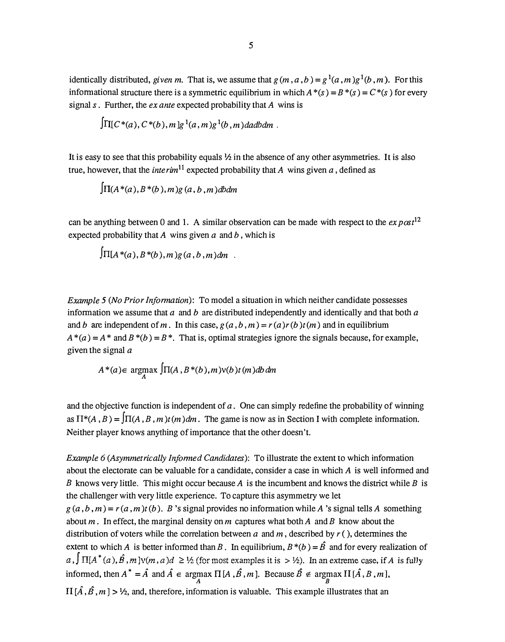identically distributed, given m. That is, we assume that  $g(m, a, b) = g<sup>1</sup>(a, m)g<sup>1</sup>(b, m)$ . For this informational structure there is a symmetric equilibrium in which  $A^*(s) = B^*(s) = C^*(s)$  for every signal  $s$ . Further, the *ex ante* expected probability that  $A$  wins is

$$
\int \prod C^*(a), C^*(b), m \lg^1(a, m)g^1(b, m) da db dm
$$

It is easy to see that this probability equals  $\frac{1}{2}$  in the absence of any other asymmetries. It is also true, however, that the *interim*<sup>11</sup> expected probability that A wins given a, defined as

$$
\int \Pi(A^*(a), B^*(b), m) g(a, b, m) db dm
$$

can be anything between 0 and 1. A similar observation can be made with respect to the  $ex$  post<sup>12</sup> expected probability that A wins given  $a$  and  $b$ , which is

$$
\int \prod [A^*(a), B^*(b), m) g(a, b, m) dm
$$

Example 5 (No Prior Information): To model a situation in which neither candidate possesses information we assume that  $a$  and  $b$  are distributed independently and identically and that both  $a$ and b are independent of m. In this case,  $g(a, b, m) = r(a)r(b)t(m)$  and in equilibrium  $A^*(a) = A^*$  and  $B^*(b) = B^*$ . That is, optimal strategies ignore the signals because, for example, given the signal  $a$ 

$$
A^*(a) \in \underset{A}{\text{argmax}} \int \Pi(A, B^*(b), m) \nu(b) t(m) db dm
$$

and the objective function is independent of  $a$ . One can simply redefine the probability of winning as  $I I^*(A, B) = \int \prod (A, B, m)t(m) dm$ . The game is now as in Section I with complete information. Neither player knows anything of importance that the other doesn't.

Example 6 (Asymmetrically Informed Candidates): To illustrate the extent to which information about the electorate can be valuable for a candidate, consider a case in which A is well informed and B knows very little. This might occur because A is the incumbent and knows the district while B is the challenger with very little experience. To capture this asymmetry we let  $g(a, b, m) = r(a, m)t(b)$ . B's signal provides no information while A's signal tells A something about  $m$ . In effect, the marginal density on  $m$  captures what both  $A$  and  $B$  know about the distribution of voters while the correlation between a and  $m$ , described by  $r($ ), determines the extent to which A is better informed than B. In equilibrium,  $B^*(b) = \hat{B}$  and for every realization of  $a, \int \Pi[A^*(a), \hat{B}, m] \vee (m, a) d \geq \frac{1}{2}$  (for most examples it is  $> \frac{1}{2}$ ). In an extreme case, if A is fully informed, then  $A^* = \hat{A}$  and  $\hat{A} \in \operatorname*{argmax}_{A} \Pi[A, \hat{B}, m]$ . Because  $\hat{B} \notin \operatorname*{argmax}_{B} \Pi[\hat{A}, B, m]$ , II  $[\hat{A}, \hat{B}, m] > \frac{1}{2}$ , and, therefore, information is valuable. This example illustrates that an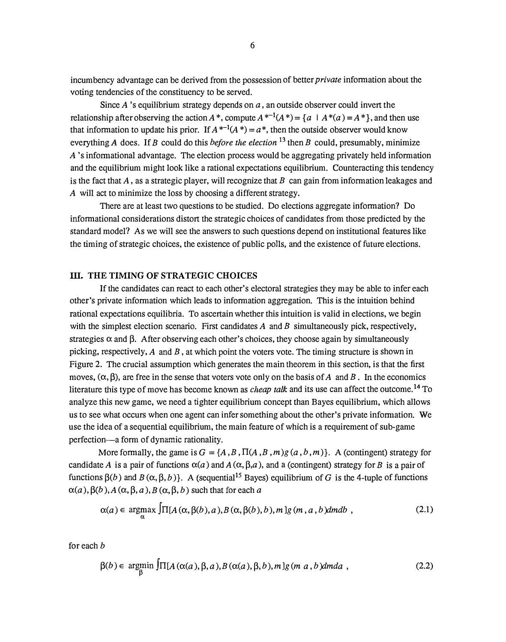incumbency advantage can be derived from the possession of better private information about the voting tendencies of the constituency to be served.

Since A 's equilibrium strategy depends on  $a$ , an outside observer could invert the relationship after observing the action  $A^*$ , compute  $A^{*-1}(A^*) = \{a \mid A^*(a) = A^*\}$ , and then use that information to update his prior. If  $A^{*-1}(A^*) = a^*$ , then the outside observer would know everything A does. If B could do this before the election  $^{13}$  then B could, presumably, minimize A 's informational advantage. The election process would be aggregating privately held information and the equilibrium might look like a rational expectations equilibrium. Counteracting this tendency is the fact that  $A$ , as a strategic player, will recognize that  $B$  can gain from information leakages and A will act to minimize the loss by choosing a different strategy.

There are at least two questions to be studied. Do elections aggregate information? Do informational considerations distort the strategic choices of candidates from those predicted by the standard model? As we will see the answers to such questions depend on institutional features like the timing of strategic choices, the existence of public polls, and the existence of future elections.

# III. THE TIMING OF STRATEGIC CHOICES

If the candidates can react to each other's electoral strategies they may be able to infer each other's private information which leads to information aggregation. This is the intuition behind rational expectations equilibria. To ascertain whether this intuition is valid in elections, we begin with the simplest election scenario. First candidates  $A$  and  $B$  simultaneously pick, respectively, strategies  $\alpha$  and  $\beta$ . After observing each other's choices, they choose again by simultaneously picking, respectively,  $A$  and  $B$ , at which point the voters vote. The timing structure is shown in Figure 2. The crucial assumption which generates the main theorem in this section, is that the first moves,  $(\alpha, \beta)$ , are free in the sense that voters vote only on the basis of A and B. In the economics literature this type of move has become known as *cheap talk* and its use can affect the outcome.<sup>14</sup> To analyze this new game, we need a tighter equilibrium concept than Bayes equilibrium, which allows us to see what occurs when one agent can infer something about the other's private information. We use the idea of a sequential equilibrium, the main feature of which is a requirement of sub-game perfection-a form of dynarnic rationality.

More formally, the game is  $G = \{A, B, \Pi(A, B, m)g(a, b, m)\}\$ . A (contingent) strategy for candidate A is a pair of functions  $\alpha(a)$  and  $A(\alpha, \beta, a)$ , and a (contingent) strategy for B is a pair of functions  $\beta(b)$  and  $B(\alpha, \beta, b)$ . A (sequential<sup>15</sup> Bayes) equilibrium of G is the 4-tuple of functions  $\alpha(a)$ ,  $\beta(b)$ ,  $A(\alpha, \beta, a)$ ,  $B(\alpha, \beta, b)$  such that for each a

$$
\alpha(a) \in \underset{\alpha}{\text{argmax}} \int \Pi[A(\alpha, \beta(b), a), B(\alpha, \beta(b), b), m]g(m, a, b) \, dmdb \tag{2.1}
$$

for each b

$$
\beta(b) \in \underset{\beta}{\text{argmin}} \int \prod [A(\alpha(a), \beta, a), B(\alpha(a), \beta, b), m] g(m \ a, b) d m d a , \qquad (2.2)
$$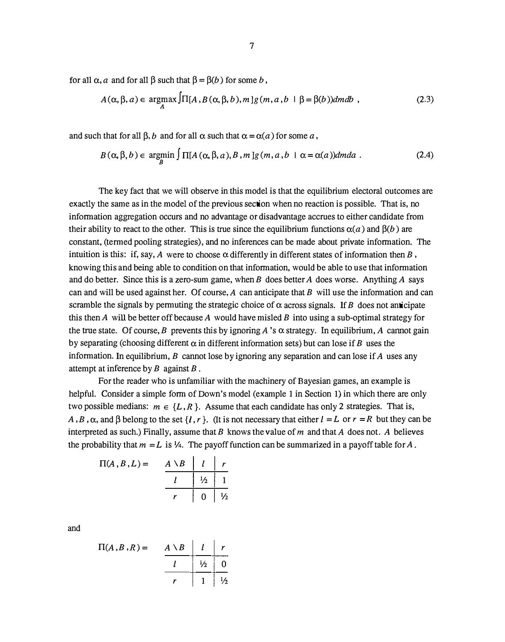for all  $\alpha$ , a and for all  $\beta$  such that  $\beta = \beta(b)$  for some b,

$$
A(\alpha, \beta, a) \in \underset{A}{\text{argmax}} \int \Pi[A, B(\alpha, \beta, b), m] g(m, a, b \mid \beta = \beta(b)) \, dm \, db \tag{2.3}
$$

and such that for all  $\beta$ , b and for all  $\alpha$  such that  $\alpha = \alpha(a)$  for some a,

$$
B(\alpha, \beta, b) \in \operatorname*{argmin}_{B} \int \Pi[A(\alpha, \beta, a), B, m] g(m, a, b \mid \alpha = \alpha(a)) \, d m \, da \tag{2.4}
$$

The key fact that we will observe in this model is that the equilibrium electoral outcomes are exactly the same as in the model of the previous section when no reaction is possible. That is, no information aggregation occurs and no advantage or disadvantage accrues to either candidate from their ability to react to the other. This is true since the equilibrium functions  $\alpha(a)$  and  $\beta(b)$  are constant, (termed pooling strategies), and no inferences can be made about private information. The intuition is this: if, say, A were to choose  $\alpha$  differently in different states of information then B, knowing this and being able to condition on that information, would be able to use that information and do better. Since this is a zero-sum game, when B does better A does worse. Anything A says can and will be used against her. Of course,  $A$  can anticipate that  $B$  will use the information and can scramble the signals by permuting the strategic choice of  $\alpha$  across signals. If B does not anticipate this then A will be better off because A would have misled B into using a sub-optimal strategy for the true state. Of course, B prevents this by ignoring A's  $\alpha$  strategy. In equilibrium, A cannot gain by separating (choosing different  $\alpha$  in different information sets) but can lose if B uses the information. In equilibrium, B cannot lose by ignoring any separation and can lose if A uses any attempt at inference by  $B$  against  $B$ .

For the reader who is unfamiliar with the machinery of Bayesian games, an example is helpful. Consider a simple form of Down's model (example 1 in Section 1) in which there are only two possible medians:  $m \in \{L, R\}$ . Assume that each candidate has only 2 strategies. That is,  $A, B, \alpha$ , and  $\beta$  belong to the set  $\{l, r\}$ . (It is not necessary that either  $l = L$  or  $r = R$  but they can be interpreted as such.) Finally, assume that B knows the value of  $m$  and that A does not. A believes the probability that  $m = L$  is  $\frac{1}{4}$ . The payoff function can be summarized in a payoff table for A.

$$
\Pi(A, B, L) = \begin{array}{c|c|c|c} & A \setminus B & l & r \\ \hline l & \frac{1}{2} & 1 \\ \hline r & 0 & \frac{1}{2} \end{array}
$$

and

$$
\Pi(A, B, R) = \begin{array}{c|c} & A \setminus B & l & r \\ \hline l & & \frac{1}{2} & 0 \\ \hline r & & 1 & \frac{1}{2} \end{array}
$$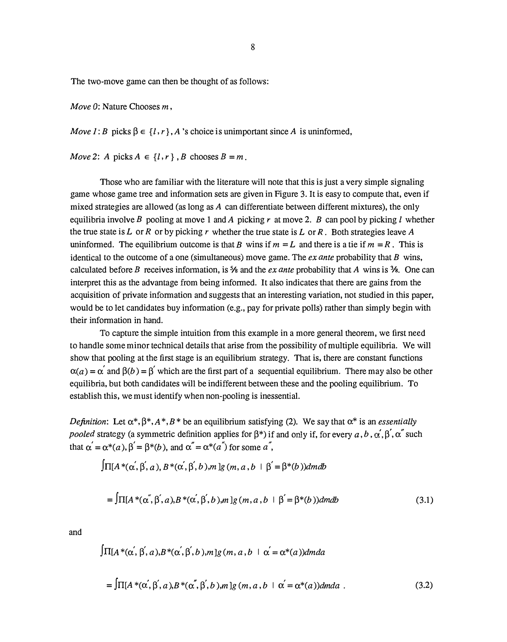The two-move game can then be thought of as follows:

Move 0: Nature Chooses m,

Move 1: B picks  $\beta \in \{l, r\}$ , A's choice is unimportant since A is uninformed,

Move 2: A picks  $A \in \{l, r\}$ , B chooses  $B = m$ .

Those who are familiar with the literature will note that this is just a very simple signaling game whose game tree and information sets are given in Figure 3. It is easy to compute that, even if mixed strategies are allowed (as long as A can differentiate between different mixtures), the only equilibria involve B pooling at move 1 and A picking r at move 2. B can pool by picking l whether the true state is L or R or by picking r whether the true state is L or R. Both strategies leave A uninformed. The equilibrium outcome is that B wins if  $m = L$  and there is a tie if  $m = R$ . This is identical to the outcome of a one (simultaneous) move game. The *ex ante* probability that  $B$  wins, calculated before B receives information, is  $\frac{5}{8}$  and the *ex ante* probability that A wins is  $\frac{3}{8}$ . One can interpret this as the advantage from being informed. It also indicates that there are gains from the acquisition of private information and suggests that an interesting variation, not studied in this paper, would be to let candidates buy information (e.g., pay for private polls) rather than simply begin with their information in hand.

To capture the simple intuition from this example in a more general theorem, we first need to handle some minor technical details that arise from the possibility of multiple equilibria. We will show that pooling at the first stage is an equilibrium strategy. That is, there are constant functions  $\alpha(a) = \alpha'$  and  $\beta(b) = \beta'$  which are the first part of a sequential equilibrium. There may also be other equilibria, but both candidates will be indifferent between these and the pooling equilibrium. To establish this, we must identify when non-pooling is inessential.

Definition: Let  $\alpha^*, \beta^*, A^*, B^*$  be an equilibrium satisfying (2). We say that  $\alpha^*$  is an essentially *pooled* strategy (a symmetric definition applies for  $\beta^*$ ) if and only if, for every  $a, b, \alpha, \beta, \alpha$  such that  $\alpha' = \alpha^*(a)$ ,  $\beta' = \beta^*(b)$ , and  $\alpha'' = \alpha^*(a'')$  for some  $a''$ ,

$$
\int \prod [A^*(\alpha, \beta, a), B^*(\alpha, \beta, b), m] g(m, a, b | \beta' = \beta^*(b)) \, d \, d \, d \, b
$$
\n
$$
= \int \prod [A^*(\alpha, \beta, a), B^*(\alpha, \beta, b), m] g(m, a, b | \beta' = \beta^*(b)) \, d \, d \, d \, b \tag{3.1}
$$

and

$$
\int \prod [A^*(\alpha', \beta', a), B^*(\alpha', \beta', b), m] g(m, a, b \mid \alpha' = \alpha^*(a)) \, d m d a
$$
\n
$$
= \int \prod [A^*(\alpha', \beta', a), B^*(\alpha'', \beta', b), m] g(m, a, b \mid \alpha' = \alpha^*(a)) \, d m d a \, . \tag{3.2}
$$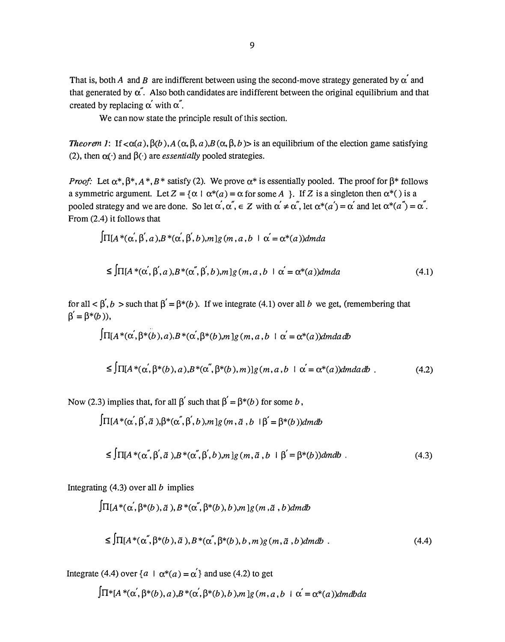That is, both A and B are indifferent between using the second-move strategy generated by  $\alpha^{'}$  and that generated by  $\alpha''$ . Also both candidates are indifferent between the original equilibrium and that created by replacing  $\alpha'$  with  $\alpha''$ .

We can now state the principle result of this section.

**Theorem 1:** If  $<\alpha$ (a),  $\beta$ (b), A ( $\alpha$ ,  $\beta$ , a), B ( $\alpha$ ,  $\beta$ , b) is an equilibrium of the election game satisfying (2), then  $\alpha(\cdot)$  and  $\beta(\cdot)$  are *essentially* pooled strategies.

*Proof*: Let  $\alpha^*, \beta^*, A^*, B^*$  satisfy (2). We prove  $\alpha^*$  is essentially pooled. The proof for  $\beta^*$  follows a symmetric argument. Let  $Z = {\alpha \mid \alpha^*(a) = \alpha \text{ for some } A}$ . If Z is a singleton then  $\alpha^*(\cdot)$  is a pooled strategy and we are done. So let  $\alpha', \alpha'', \in Z$  with  $\alpha' \neq \alpha''$ , let  $\alpha^*(a') = \alpha'$  and let  $\alpha^*(a'') = \alpha''$ . From (2.4) it follows that

$$
\begin{aligned} &\int \Pi[A*(\alpha', \beta', a), B*(\alpha', \beta', b), m]g(m, a, b \mid \alpha' = \alpha^*(a)) \, d\, \\ &\leq \int \Pi[A*(\alpha', \beta', a), B*(\alpha'', \beta', b), m]g(m, a, b \mid \alpha' = \alpha^*(a)) \, d\, \end{aligned} \tag{4.1}
$$

for all  $\lt \beta$ ,  $b >$  such that  $\beta' = \beta^*(b)$ . If we integrate (4.1) over all b we get, (remembering that  $\beta' = \beta^*(b)$ ),

$$
\int \prod_{A} (a^{*}(a^{'}\beta^{*}(b),a),B^{*}(a^{'}\beta^{*}(b),m)g(m,a,b \mid \alpha^{'}=\alpha^{*}(a)) \, d \, d \, d \, b
$$
\n
$$
\leq \int \prod_{A} (a^{*}(a^{'}\beta^{*}(b),a),B^{*}(a^{''}\beta^{*}(b),m))g(m,a,b \mid \alpha^{'}=\alpha^{*}(a)) \, d \, d \, d \, b \tag{4.2}
$$

Now (2.3) implies that, for all  $\beta'$  such that  $\beta' = \beta^*(b)$  for some b,

$$
\int \prod [A^*(\alpha', \beta', \tilde{a}), \beta^*(\alpha'', \beta', b), m] g(m, \tilde{a}, b \mid \beta' = \beta^*(b)) dmdb
$$

$$
\leq \int \prod [A^*(\alpha'', \beta', \tilde{a}), B^*(\alpha'', \beta', b), m] g(m, \tilde{a}, b + \beta' = \beta^*(b)) \, d \\ m \, db \tag{4.3}
$$

Integrating  $(4.3)$  over all b implies

$$
\int \prod [A^*(\alpha', \beta^*(b), \tilde{a}), B^*(\alpha'', \beta^*(b), b), m] g(m, \tilde{a}, b) dm db
$$

$$
\leq \int \prod [A^*(\alpha'', \beta^*(b), \tilde{a}), B^*(\alpha'', \beta^*(b), b, m)g(m, \tilde{a}, b) \, dm \, db \tag{4.4}
$$

Integrate (4.4) over  $\{a \mid \alpha^*(a) = \alpha'\}$  and use (4.2) to get

$$
\int \prod^* [A^*(\alpha', \beta^*(b), a), B^*(\alpha', \beta^*(b), b), m] g(m, a, b \mid \alpha' = \alpha^*(a)) dmdbda
$$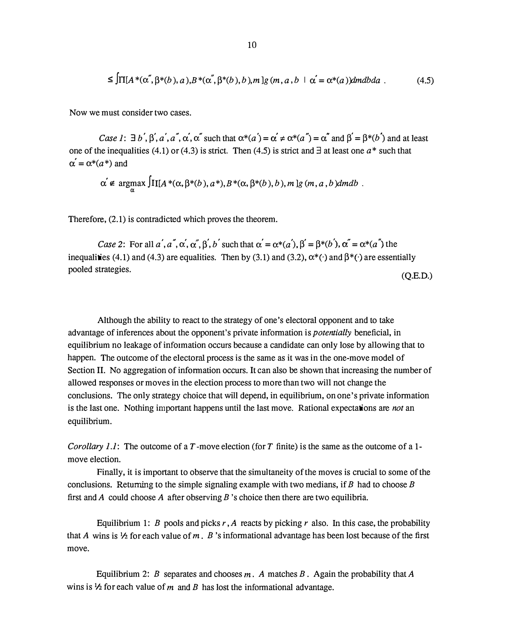$$
\leq \int \prod [A^*(\alpha'', \beta^*(b), a), B^*(\alpha'', \beta^*(b), b), m] g(m, a, b \mid \alpha' = \alpha^*(a)) \, d \, \text{mod} \, \text{mod} \, \tag{4.5}
$$

Now we must consider two cases.

*Case 1*:  $\exists b', \beta', a', a'', \alpha', \alpha''$  such that  $\alpha^*(a') = \alpha' \neq \alpha^*(a'') = \alpha''$  and  $\beta' = \beta^*(b')$  and at least one of the inequalities (4.1) or (4.3) is strict. Then (4.5) is strict and  $\exists$  at least one  $a^*$  such that  $\alpha' = \alpha^*(a^*)$  and

$$
\alpha' \notin \underset{\alpha}{\operatorname{argmax}} \int \Pi[A^*(\alpha, \beta^*(b), a^*), B^*(\alpha, \beta^*(b), b), m]g(m, a, b) \, dmdb.
$$

Therefore, (2.1) is contradicted which proves the theorem.

*Case 2:* For all  $a', a'', \alpha', \alpha'', \beta', b'$  such that  $\alpha' = \alpha^*(a'), \beta' = \beta^*(b'), \alpha'' = \alpha^*(a'')$  the inequalities (4.1) and (4.3) are equalities. Then by (3.1) and (3.2),  $\alpha^*(\cdot)$  and  $\beta^*(\cdot)$  are essentially pooled strategies. (Q.E.D.)

Although the ability to react to the strategy of one's electoral opponent and to take advantage of inferences about the opponent's private information is potentially beneficial, in equilibrium no leakage of information occurs because a candidate can only lose by allowing that to happen. The outcome of the electoral process is the same as it was in the one-move model of Section II. No aggregation of information occurs. It can also be shown that increasing the number of allowed responses or moves in the election process to more than two will not change the conclusions. The only strategy choice that will depend, in equilibrium, on one's private information is the last one. Nothing important happens until the last move. Rational expectations are *not* an equilibrium.

Corollary 1.1: The outcome of a T-move election (for T finite) is the same as the outcome of a 1move election.

Finally, it is important to observe that the simultaneity of the moves is crucial to some of the conclusions. Returning to the simple signaling example with two medians, if  $B$  had to choose  $B$ first and A could choose A after observing B's choice then there are two equilibria.

Equilibrium 1: B pools and picks r, A reacts by picking r also. In this case, the probability that A wins is  $\frac{1}{2}$  for each value of m. B's informational advantage has been lost because of the first move.

Equilibrium 2: B separates and chooses  $m$ . A matches  $B$ . Again the probability that  $A$ wins is  $\frac{1}{2}$  for each value of m and B has lost the informational advantage.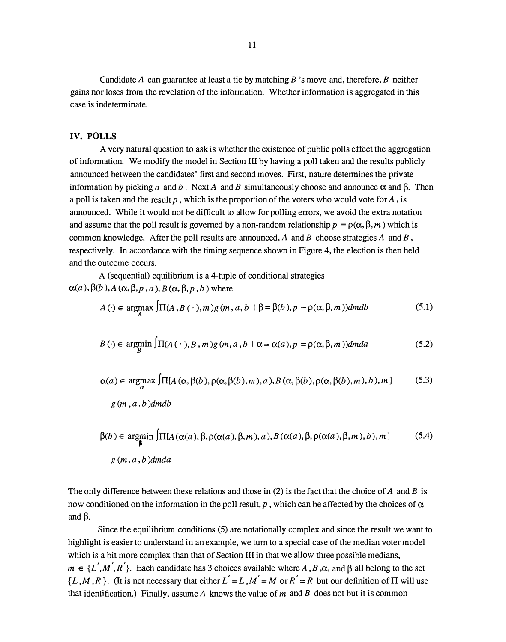Candidate A can guarantee at least a tie by matching  $B$  's move and, therefore,  $B$  neither gains nor loses from the revelation of the information. Whether information is aggregated in this case is indeterminate.

#### IV. POLLS

A very natural question to ask is whether the existence of public polls effect the aggregation of information. We modify the model in Section III by having a poll taken and the results publicly announced between the candidates' first and second moves. First, nature determines the private information by picking a and b. Next A and B simultaneously choose and announce  $\alpha$  and  $\beta$ . Then a poll is taken and the result p, which is the proportion of the voters who would vote for  $\overline{A}$ , is announced. While it would not be difficult to allow for polling errors, we avoid the extra notation and assume that the poll result is governed by a non-random relationship  $p = \rho(\alpha, \beta, m)$  which is common knowledge. After the poll results are announced,  $A$  and  $B$  choose strategies  $A$  and  $B$ , respectively. In accordance with the timing sequence shown in Figure 4, the election is then held and the outcome occurs.

A (sequential) equilibrium is a 4-tuple of conditional strategies  $\alpha(a)$ ,  $\beta(b)$ ,  $A(\alpha, \beta, p, a)$ ,  $B(\alpha, \beta, p, b)$  where

$$
A(\cdot) \in \underset{A}{\text{argmax}} \int \Pi(A, B(\cdot), m) g(m, a, b \mid \beta = \beta(b), p = \rho(\alpha, \beta, m)) dmdb \tag{5.1}
$$

$$
B(\cdot) \in \operatorname*{argmin}_{B} \int \Pi(A(\cdot), B, m)g(m, a, b \mid \alpha = \alpha(a), p = \rho(\alpha, \beta, m)) \, dmda \tag{5.2}
$$

$$
\alpha(a) \in \underset{\alpha}{\text{argmax}} \int \Pi[A(\alpha, \beta(b), \rho(\alpha, \beta(b), m), a), B(\alpha, \beta(b), \rho(\alpha, \beta(b), m), b), m]
$$
(5.3)  

$$
g(m, a, b) \, d \, m \, d \, b
$$

$$
\beta(b) \in \operatorname*{argmin}_{\beta} \int \prod [A(\alpha(a), \beta, \rho(\alpha(a), \beta, m), a), B(\alpha(a), \beta, \rho(\alpha(a), \beta, m), b), m]
$$
(5.4)  
g(m, a, b)dmda

The only difference between these relations and those in  $(2)$  is the fact that the choice of A and B is now conditioned on the information in the poll result, p, which can be affected by the choices of  $\alpha$ . and  $\beta$ .

Since the equilibrium conditions (5) are notationally complex and since the result we want to highlight is easier to understand in an example, we tum to a special case of the median voter model which is a bit more complex than that of Section III in that we allow three possible medians,  $m \in \{L', M', R'\}$ . Each candidate has 3 choices available where A, B,  $\alpha$ , and  $\beta$  all belong to the set  $\{L, M, R\}$ . (It is not necessary that either  $L' = L, M' = M$  or  $R' = R$  but our definition of  $\Pi$  will use that identification.) Finally, assume A knows the value of  $m$  and  $B$  does not but it is common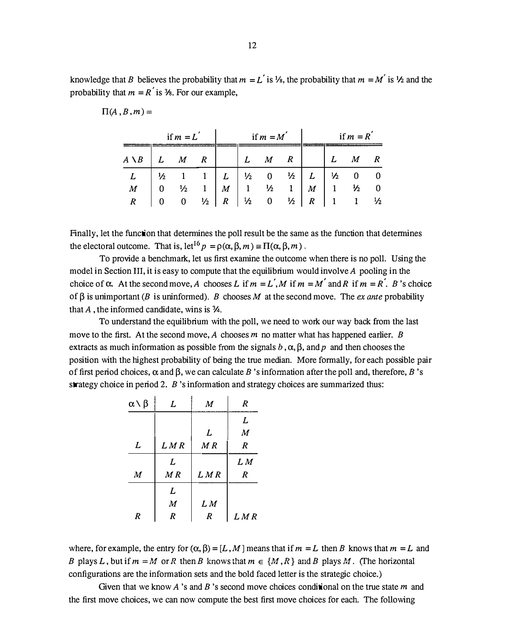knowledge that B believes the probability that  $m = L'$  is  $\frac{1}{2}$ , the probability that  $m = M'$  is  $\frac{1}{2}$  and the probability that  $m = R'$  is  $\frac{3}{6}$ . For our example,

$$
\Pi(A, B, m) =
$$

|               | if $m = L'$ |    |               |                     | if $m = M$    |              |               |                  | if $m = R$    |               |    |
|---------------|-------------|----|---------------|---------------------|---------------|--------------|---------------|------------------|---------------|---------------|----|
| $\setminus B$ |             |    |               |                     |               |              |               |                  |               |               |    |
| L             |             |    |               | $\lfloor L \rfloor$ | $\frac{1}{2}$ | $\mathbf{0}$ | $\frac{1}{2}$ | L                | $\frac{1}{2}$ | 0             |    |
| M             |             | りん |               | M                   |               | 1⁄2          | $\mathbf{1}$  | $\boldsymbol{M}$ |               | $\frac{1}{2}$ |    |
| R             |             |    | $\frac{1}{2}$ | $\boldsymbol{R}$    | $\frac{1}{2}$ | $\mathbf{0}$ | $\frac{1}{2}$ | $\boldsymbol{R}$ |               |               | 场. |

Finally, let the function that determines the poll result be the same as the function that determines the electoral outcome. That is, let<sup>16</sup>  $p = \rho(\alpha, \beta, m) = \Pi(\alpha, \beta, m)$ .

To provide a benchmark, let us first examine the outcome when there is no poll. Using the model in Section III, it is easy to compute that the equilibrium would involve A pooling in the choice of  $\alpha$ . At the second move, A chooses L if  $m = L'$ , M if  $m = M'$  and R if  $m = R'$ . B's choice of  $\beta$  is unimportant (B is uninformed). B chooses M at the second move. The ex ante probability that  $A$ , the informed candidate, wins is  $\frac{3}{4}$ .

To understand the equilibrium with the poll, we need to work our way back from the last move to the first. At the second move, A chooses  $m$  no matter what has happened earlier.  $B$ extracts as much information as possible from the signals  $b, \alpha, \beta$ , and p and then chooses the position with the highest probability of being the true median. More formally, for each possible pair of first period choices,  $\alpha$  and  $\beta$ , we can calculate B's information after the poll and, therefore, B's strategy choice in period 2. B's information and strategy choices are summarized thus:

| $\alpha \setminus \beta$<br>L |                  | M   | R                |  |
|-------------------------------|------------------|-----|------------------|--|
|                               |                  |     | L                |  |
|                               |                  | L   | $\boldsymbol{M}$ |  |
| L                             | LMR              | M R | R                |  |
|                               | L                |     | LM               |  |
| $\boldsymbol{M}$              | M R              | LMR | R                |  |
|                               | L                |     |                  |  |
|                               | $\boldsymbol{M}$ | LM  |                  |  |
| R                             | R                | R   | L M R            |  |

where, for example, the entry for  $(\alpha, \beta) = [L, M]$  means that if  $m = L$  then B knows that  $m = L$  and B plays L, but if  $m = M$  or R then B knows that  $m \in \{M, R\}$  and B plays M. (The horizontal configurations are the information sets and the bold faced letter is the strategic choice.)

Given that we know A's and B's second move choices conditional on the true state  $m$  and the first move choices, we can now compute the best first move choices for each. The following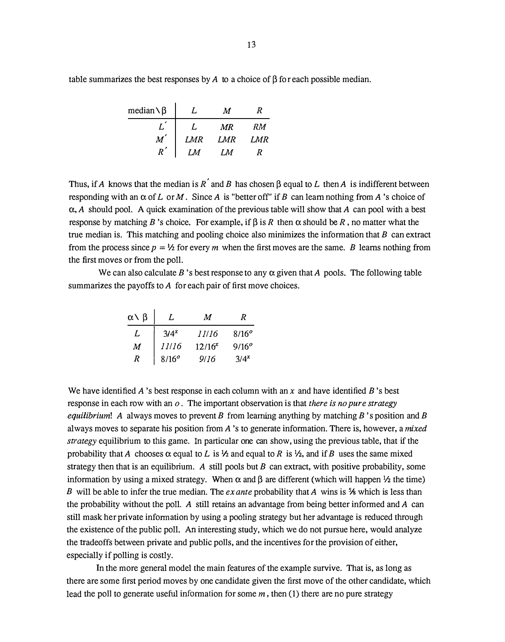table summarizes the best responses by  $A$  to a choice of  $\beta$  for each possible median.

| $median \setminus \beta$ |     | M   | R   |
|--------------------------|-----|-----|-----|
|                          |     | MR  | RM  |
| $\boldsymbol{M}$         | LMR | LMR | LMR |
|                          | I M | I M |     |

Thus, if A knows that the median is R<sup>'</sup> and B has chosen  $\beta$  equal to L then A is indifferent between responding with an  $\alpha$  of L or M. Since A is "better off" if B can learn nothing from A 's choice of  $\alpha$ , A should pool. A quick examination of the previous table will show that A can pool with a best response by matching B 's choice. For example, if  $\beta$  is R then  $\alpha$  should be R, no matter what the true median is. This matching and pooling choice also minimizes the information that  $B$  can extract from the process since  $p = \frac{1}{2}$  for every *m* when the first moves are the same. *B* learns nothing from the first moves or from the poll.

We can also calculate B's best response to any  $\alpha$  given that A pools. The following table summarizes the payoffs to A for each pair of first move choices.

| $\alpha \setminus \beta$ |                | M           | R         |  |  |
|--------------------------|----------------|-------------|-----------|--|--|
| L                        | $3/4^x$        | 11/16       | $8/16^o$  |  |  |
| M                        | 11/16          | $12/16^{x}$ | $9/16^o$  |  |  |
| R                        | $8/16^{\circ}$ | 9/16        | $3/4^{x}$ |  |  |

We have identified A 's best response in each column with an  $x$  and have identified B 's best response in each row with an  $\sigma$ . The important observation is that there is no pure strategy equilibrium! A always moves to prevent B from learning anything by matching B's position and B always moves to separate his position from A's to generate information. There is, however, a mixed strategy equilibrium to this game. In particular one can show, using the previous table, that if the probability that A chooses  $\alpha$  equal to L is  $\frac{1}{2}$  and equal to R is  $\frac{1}{2}$ , and if B uses the same mixed strategy then that is an equilibrium. A still pools but B can extract, with positive probability, some information by using a mixed strategy. When  $\alpha$  and  $\beta$  are different (which will happen  $\frac{1}{2}$  the time) B will be able to infer the true median. The *ex ante* probability that A wins is  $\frac{1}{2}$  which is less than the probability without the poll. A still retains an advantage from being better informed and A can still mask her private information by using a pooling strategy but her advantage is reduced through the existence of the public poll. An interesting study, which we do not pursue here, would analyze the tradeoffs between private and public polls, and the incentives for the provision of either, especially if polling is costly.

In the more general model the main features of the example survive. That is, as long as there are some first period moves by one candidate given the first move of the other candidate, which lead the poll to generate useful information for some  $m$ , then (1) there are no pure strategy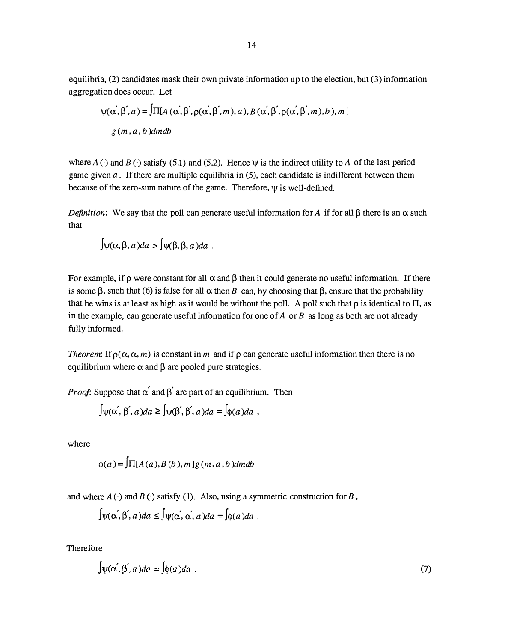equilibria, (2) candidates mask their own private information up to the election, but (3) information aggregation does occur. Let

$$
\psi(\alpha', \beta', a) = \int \Pi[A(\alpha', \beta', \rho(\alpha', \beta', m), a), B(\alpha', \beta', \rho(\alpha', \beta', m), b), m]
$$
  
g(m, a, b)dmdb

where  $A(\cdot)$  and  $B(\cdot)$  satisfy (5.1) and (5.2). Hence  $\psi$  is the indirect utility to A of the last period game given  $a$ . If there are multiple equilibria in (5), each candidate is indifferent between them because of the zero-sum nature of the game. Therefore,  $\psi$  is well-defined.

*Definition*: We say that the poll can generate useful information for A if for all  $\beta$  there is an  $\alpha$  such that

$$
\int \psi(\alpha,\beta,a)da > \int \psi(\beta,\beta,a)da.
$$

For example, if  $\rho$  were constant for all  $\alpha$  and  $\beta$  then it could generate no useful information. If there is some  $\beta$ , such that (6) is false for all  $\alpha$  then B can, by choosing that  $\beta$ , ensure that the probability that he wins is at least as high as it would be without the poll. A poll such that  $\rho$  is identical to  $\Pi$ , as in the example, can generate useful information for one of  $A$  or  $B$  as long as both are not already fully informed.

Theorem: If  $p(\alpha, \alpha, m)$  is constant in m and if  $\rho$  can generate useful information then there is no equilibrium where  $\alpha$  and  $\beta$  are pooled pure strategies.

*Proof*: Suppose that  $\alpha'$  and  $\beta'$  are part of an equilibrium. Then

$$
\int \psi(\alpha', \beta', a) da \ge \int \psi(\beta', \beta', a) da = \int \phi(a) da,
$$

where

$$
\phi(a) = \int \prod [A(a), B(b), m] g(m, a, b) dmdb
$$

and where  $A(\cdot)$  and  $B(\cdot)$  satisfy (1). Also, using a symmetric construction for B,

$$
\int \psi(\alpha', \beta', a) da \leq \int \psi(\alpha', \alpha', a) da = \int \phi(a) da.
$$

Therefore

$$
\int \psi(\alpha', \beta', a) da = \int \phi(a) da . \tag{7}
$$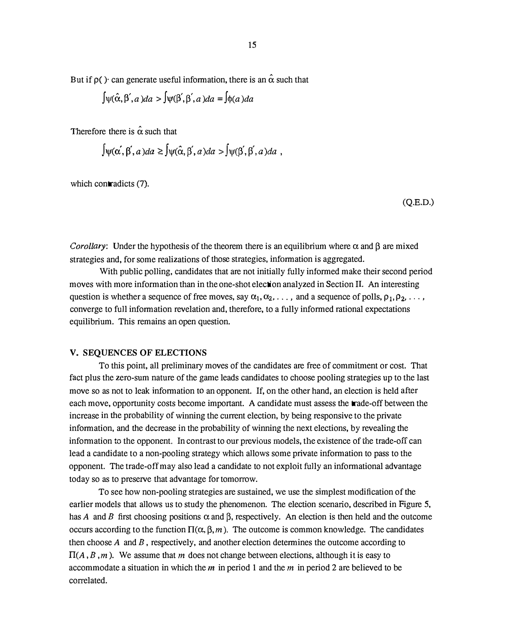But if  $p()$  can generate useful information, there is an  $\alpha$  such that

 $\int \psi(\hat{\alpha}, \beta', a)da > \int \psi(\beta', \beta', a)da = \int \phi(a)da$ 

Therefore there is  $\hat{\alpha}$  such that

$$
\int \psi(\alpha', \beta', a) da \ge \int \psi(\hat{\alpha}, \beta', a) da > \int \psi(\beta', \beta', a) da ,
$$

which contradicts (7).

(Q.E.D.)

*Corollary:* Under the hypothesis of the theorem there is an equilibrium where  $\alpha$  and  $\beta$  are mixed strategies and, for some realizations of those strategies, information is aggregated.

With public polling, candidates that are not initially fully informed make their second period moves with more information than in the one-shot election analyzed in Section IL An interesting question is whether a sequence of free moves, say  $\alpha_1, \alpha_2, \ldots$ , and a sequence of polls,  $\rho_1, \rho_2, \ldots$ , converge to full information revelation and, therefore, to a fully informed rational expectations equilibrium. This remains an open question.

#### V. SEQUENCES OF ELECTIONS

To this point, all preliminary moves of the candidates are free of commitment or cost. That fact plus the zero-sum nature of the game leads candidates to choose pooling strategies up to the last move so as not to leak information to an opponent. If, on the other hand, an election is held after each move, opportunity costs become important. A candidate must assess the **trade-off between** the increase in the probability of winning the current election, by being responsive to the private information, and the decrease in the probability of winning the next elections, by revealing the information to the opponent. In contrast to our previous models, the existence of the trade-off can lead a candidate to a non-pooling strategy which allows some private information to pass to the opponent. The trade-off may also lead a candidate to not exploit fully an informational advantage today so as to preserve that advantage for tomorrow.

To see how non-pooling strategies are sustained, we use the simplest modification of the earlier models that allows us to study the phenomenon. The election scenario, described in Figure 5, has A and B first choosing positions  $\alpha$  and  $\beta$ , respectively. An election is then held and the outcome occurs according to the function  $\Pi(\alpha, \beta, m)$ . The outcome is common knowledge. The candidates then choose  $A$  and  $B$ , respectively, and another election determines the outcome according to  $\Pi(A, B, m)$ . We assume that m does not change between elections, although it is easy to accommodate a situation in which the m in period 1 and the m in period 2 are believed to be correlated.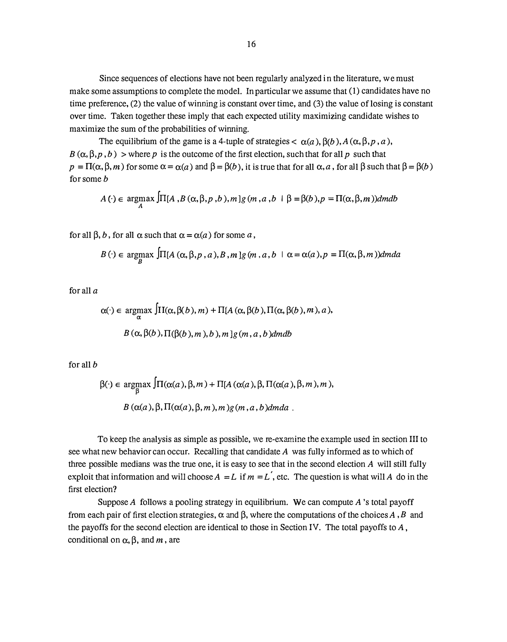Since sequences of elections have not been regularly analyzed in the literature, we must make some assumptions to complete the model. In particular we assume that (1) candidates have no time preference, (2) the value of winning is constant over time, and (3) the value of losing is constant over time. Taken together these imply that each expected utility maximizing candidate wishes to maximize the sum of the probabilities of winning.

The equilibrium of the game is a 4-tuple of strategies  $<\alpha(a)$ ,  $\beta(b)$ ,  $A(\alpha, \beta, p, a)$ ,  $B(\alpha, \beta, p, b)$  > where p is the outcome of the first election, such that for all p such that  $p = \Pi(\alpha, \beta, m)$  for some  $\alpha = \alpha(a)$  and  $\beta = \beta(b)$ , it is true that for all  $\alpha, a$ , for all  $\beta$  such that  $\beta = \beta(b)$ for some b

$$
A(\cdot) \in \underset{A}{\text{argmax}} \int \prod [A, B(\alpha, \beta, p, b), m] g(m, a, b \mid \beta = \beta(b), p = \Pi(\alpha, \beta, m)) dmdb
$$

for all  $\beta$ , b, for all  $\alpha$  such that  $\alpha = \alpha(a)$  for some a,

$$
B(\cdot) \in \underset{B}{\text{argmax}} \int \prod [A(\alpha, \beta, p, a), B, m] g(m, a, b \mid \alpha = \alpha(a), p = \Pi(\alpha, \beta, m)] dmda
$$

for all a

$$
\alpha(\cdot) \in \underset{\alpha}{\operatorname{argmax}} \int \Pi(\alpha, \beta(b), m) + \Pi[A(\alpha, \beta(b), \Pi(\alpha, \beta(b), m), a),
$$

$$
B(\alpha, \beta(b), \Pi(\beta(b), m), b), m \,] g(m, a, b) \, d \, d \, d \, b
$$

for all  $b$ 

$$
\beta(\cdot) \in \underset{\beta}{\text{argmax}} \int \Pi(\alpha(a), \beta, m) + \Pi[A(\alpha(a), \beta, \Pi(\alpha(a), \beta, m), m),
$$
  

$$
B(\alpha(a), \beta, \Pi(\alpha(a), \beta, m), m)g(m, a, b) \, dm \, da
$$

To keep the analysis as simple as possible, we re-examine the example used in section III to see what new behavior can occur. Recalling that candidate A was fully informed as to which of three possible medians was the true one, it is easy to see that in the second election A will still fully exploit that information and will choose  $A = L$  if  $m = L'$ , etc. The question is what will A do in the first election?

Suppose  $A$  follows a pooling strategy in equilibrium. We can compute  $A$  's total payoff from each pair of first election strategies,  $\alpha$  and  $\beta$ , where the computations of the choices A, B and the payoffs for the second election are identical to those in Section IV. The total payoffs to A , conditional on  $\alpha$ ,  $\beta$ , and *m*, are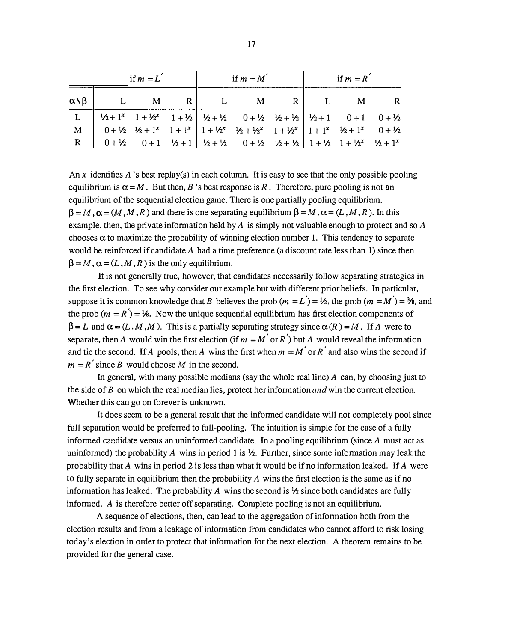| if $m = L'$              |  |  |  | if $m = M'$ |                                                                                                                                                                       |  | if $m = R^{\prime}$ |  |  |
|--------------------------|--|--|--|-------------|-----------------------------------------------------------------------------------------------------------------------------------------------------------------------|--|---------------------|--|--|
| $\alpha \setminus \beta$ |  |  |  |             | L M R L M R L M                                                                                                                                                       |  |                     |  |  |
|                          |  |  |  |             | L   $V_2 + 1^x$ 1 + $V_2$ <sup>x</sup> 1 + $V_2$   $V_2 + V_2$ 0 + $V_2$ $V_2 + V_2$   $V_2 + 1$ 0 + 1 0 + $V_2$                                                      |  |                     |  |  |
|                          |  |  |  |             |                                                                                                                                                                       |  |                     |  |  |
|                          |  |  |  |             | R $\begin{vmatrix} 0+1/2 & 0+1 & 1/2+1 \end{vmatrix}$ $\begin{vmatrix} 1/2+1/2 & 0+1/2 & 1/2+1/2 \end{vmatrix}$ $\begin{vmatrix} 1+1/2 & 1+1/2 & 1/2+1 \end{vmatrix}$ |  |                     |  |  |

An x identifies  $\vec{A}$  's best replay(s) in each column. It is easy to see that the only possible pooling equilibrium is  $\alpha = M$ . But then, B's best response is R. Therefore, pure pooling is not an equilibrium of the sequential election game. There is one partially pooling equilibrium.  $\beta = M$ ,  $\alpha = (M, M, R)$  and there is one separating equilibrium  $\beta = M$ ,  $\alpha = (L, M, R)$ . In this example, then, the private information held by  $A$  is simply not valuable enough to protect and so  $A$ chooses  $\alpha$  to maximize the probability of winning election number 1. This tendency to separate would be reinforced if candidate A had a time preference (a discount rate less than 1) since then  $\beta = M$ ,  $\alpha = (L, M, R)$  is the only equilibrium.

It is not generally true, however, that candidates necessarily follow separating strategies in the first election. To see why consider our example but with different prior beliefs. In particular, suppose it is common knowledge that B believes the prob ( $m = L'$ ) = ½, the prob ( $m = M'$ ) = ¾, and the prob  $(m = R') = 1/8$ . Now the unique sequential equilibrium has first election components of  $\beta = L$  and  $\alpha = (L, M, M)$ . This is a partially separating strategy since  $\alpha(R) = M$ . If A were to separate, then A would win the first election (if  $m = M'$  or R') but A would reveal the information and tie the second. If A pools, then A wins the first when  $m = M'$  or R' and also wins the second if  $m = R'$  since B would choose M in the second.

In general, with many possible medians (say the whole real line)  $\vec{A}$  can, by choosing just to the side of  $B$  on which the real median lies, protect her information and win the current election. Whether this can go on forever is unknown.

It does seem to be a general result that the informed candidate will not completely pool since full separation would be preferred to full-pooling. The intuition is simple for the case of a fully informed candidate versus an uninformed candidate. In a pooling equilibrium (since  $A$  must act as uninformed) the probability A wins in period 1 is  $\frac{1}{2}$ . Further, since some information may leak the probability that A wins in period 2 is less than what it would be if no information leaked. If A were to fully separate in equilibrium then the probability  $\vec{A}$  wins the first election is the same as if no information has leaked. The probability A wins the second is  $\frac{1}{2}$  since both candidates are fully informed. A is therefore better off separating. Complete pooling is not an equilibrium.

A sequence of elections, then, can lead to the aggregation of information both from the election results and from a leakage of information from candidates who cannot afford to risk losing today's election in order to protect that information for the next election. A theorem remains to be provided for the general case.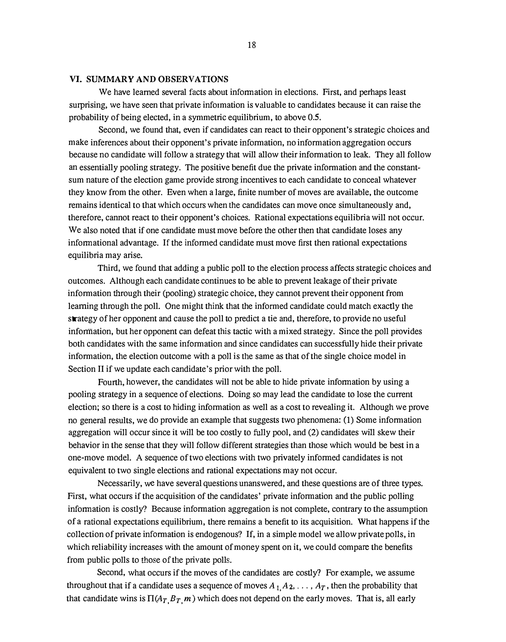#### VI. SUMMARY AND OBSERVATIONS

We have learned several facts about information in elections. First, and perhaps least surprising, we have seen that private information is valuable to candidates because it can raise the probability of being elected, in a symmetric equilibrium, to above 0.5.

Second, we found that, even if candidates can react to their opponent's strategic choices and make inferences about their opponent's private information, no information aggregation occurs because no candidate will follow a strategy that will allow their information to leak. They all follow an essentially pooling strategy. The positive benefit due the private information and the constantsum nature of the election game provide strong incentives to each candidate to conceal whatever they know from the other. Even when a large, finite number of moves are available, the outcome remains identical to that which occurs when the candidates can move once simultaneously and, therefore, cannot react to their opponent's choices. Rational expectations equilibria will not occur. We also noted that if one candidate must move before the other then that candidate loses any informational advantage. If the informed candidate must move first then rational expectations equilibria may arise.

Third, we found that adding a public poll to the election process affects strategic choices and outcomes. Although each candidate continues to be able to prevent leakage of their private information through their (pooling) strategic choice, they cannot prevent their opponent from learning through the poll. One might think that the informed candidate could match exactly the strategy of her opponent and cause the poll to predict a tie and, therefore, to provide no useful information, but her opponent can defeat this tactic with a mixed strategy. Since the poll provides both candidates with the same information and since candidates can successfully hide their private information, the election outcome with a poll is the same as that of the single choice model in Section II if we update each candidate's prior with the poll.

Fourth, however, the candidates will not be able to hide private information by using a pooling strategy in a sequence of elections. Doing so may lead the candidate to lose the current election; so there is a cost to hiding information as well as a cost to revealing it. Although we prove no general results, we do provide an example that suggests two phenomena: (1) Some information aggregation will occur since it will be too costly to fully pool, and (2) candidates will skew their behavior in the sense that they will follow different strategies than those which would be best in a one-move model. A sequence of two elections with two privately informed candidates is not equivalent to two single elections and rational expectations may not occur.

Necessarily, we have several questions unanswered, and these questions are of three types. First, what occurs if the acquisition of the candidates' private information and the public polling information is costly? Because information aggregation is not complete, contrary to the assumption of a rational expectations equilibrium, there remains a benefit to its acquisition. What happens if the collection of private information is endogenous? If, in a simple model we allow private polls, in which reliability increases with the amount of money spent on it, we could compare the benefits from public polls to those of the private polls.

Second, what occurs if the moves of the candidates are costly? For example, we assume throughout that if a candidate uses a sequence of moves  $A_1, A_2, \ldots, A_T$ , then the probability that that candidate wins is  $\Pi(A_T, B_T, m)$  which does not depend on the early moves. That is, all early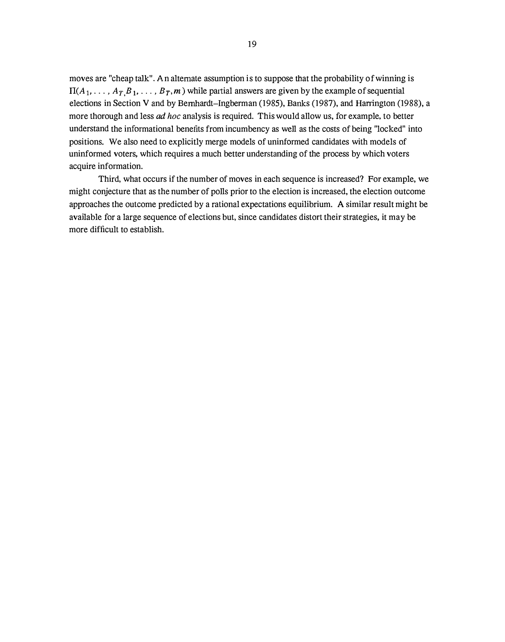moves are "cheap talk". An alternate assumption is to suppose that the probability of winning is  $II(A_1, \ldots, A_T, B_1, \ldots, B_T, m)$  while partial answers are given by the example of sequential elections in Section V and by Bernhardt-Ingberman (1985), Banks (1987), and Harrington (1988), a more thorough and less *ad hoc* analysis is required. This would allow us, for example, to better understand the informational benefits from incumbency as well as the costs of being "locked" into positions. We also need to explicitly merge models of uninformed candidates with models of uninformed voters, which requires a much better understanding of the process by which voters acquire information.

Third, what occurs if the number of moves in each sequence is increased? For example, we might conjecture that as the number of polls prior to the election is increased, the election outcome approaches the outcome predicted by a rational expectations equilibrium. A similar result might be available for a large sequence of elections but, since candidates distort their strategies, it may be more difficult to establish.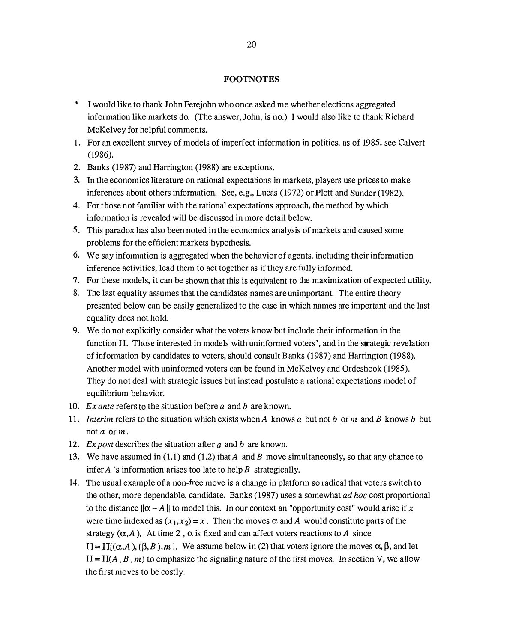# FOOTNOTES

- \* I would like to thank John Ferejohn who once asked me whether elections aggregated information like markets do. (The answer, John, is no.) I would also like to thank Richard McKelvey for helpful comments.
- 1. For an excellent survey of models of imperfect information in politics, as of 1985, see Calvert (1986).
- 2. Banks (1987) and Harrington (1988) are exceptions.
- 3. In the economics literature on rational expectations in markets, players use prices to make inferences about others information. See, e.g., Lucas (1972) or Plott and Sunder (1982).
- 4. For those not familiar with the rational expectations approach, the method by which information is revealed will be discussed in more detail below.
- 5. This paradox has also been noted in the economics analysis of markets and caused some problems for the efficient markets hypothesis.
- 6. We say information is aggregated when the behavior of agents, including their information inference activities, lead them to act together as if they are fully informed.
- 7. For these models, it can be shown that this is equivalent to the maximization of expected utility.
- 8. The last equality assumes that the candidates names are unimportant. The entire theory presented below can be easily generalized to the case in which names are important and the last equality does not hold.
- 9. We do not explicitly consider what the voters know but include their information in the function II. Those interested in models with uninformed voters', and in the strategic revelation of information by candidates to voters, should consult Banks (1987) and Harrington (1988). Another model with uninformed voters can be found in McKelvey and Ordeshook (1985). They do not deal with strategic issues but instead postulate a rational expectations model of equilibrium behavior.
- 10. Ex ante refers to the situation before a and b are known.
- 11. *Interim* refers to the situation which exists when A knows a but not b or m and B knows b but not a or m.
- 12. Ex post describes the situation after  $a$  and  $b$  are known.
- 13. We have assumed in (1.1) and (1.2) that A and B move simultaneously, so that any chance to infer A 's information arises too late to help B strategically.
- 14. The usual example of a non-free move is a change in platform so radical that voters switch to the other, more dependable, candidate. Banks (1987) uses a somewhat *ad hoc* cost proportional to the distance  $\|\alpha - A\|$  to model this. In our context an "opportunity cost" would arise if x were time indexed as  $(x_1, x_2) = x$ . Then the moves  $\alpha$  and A would constitute parts of the strategy  $(\alpha, A)$ . At time 2,  $\alpha$  is fixed and can affect voters reactions to A since  $II = II[(\alpha, A), (\beta, B), m]$ . We assume below in (2) that voters ignore the moves  $\alpha, \beta$ , and let  $II = II(A, B, m)$  to emphasize the signaling nature of the first moves. In section V, we allow the first moves to be costly.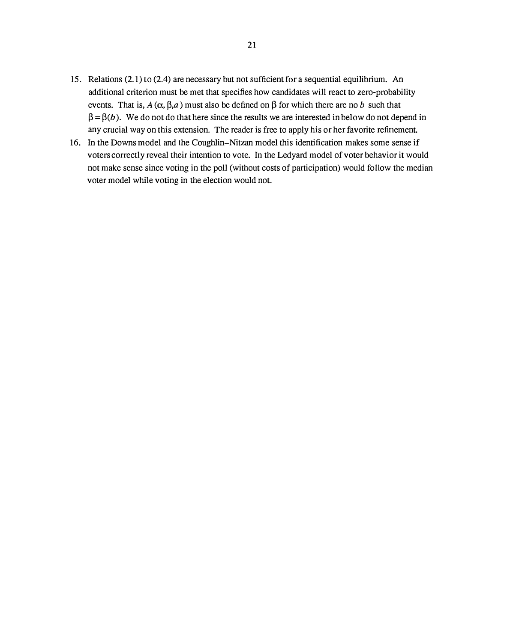- 15. Relations (2.1) to (2.4) are necessary but not sufficient for a sequential equilibrium. An additional criterion must be met that specifies how candidates will react to zero-probability events. That is,  $A(\alpha, \beta, a)$  must also be defined on  $\beta$  for which there are no b such that  $\beta = \beta(b)$ . We do not do that here since the results we are interested in below do not depend in any crucial way on this extension. The reader is free to apply his or her favorite refinement.
- 16. In the Downs model and the Coughlin-Nitzan model this identification makes some sense if voters correctly reveal their intention to vote. In the Ledyard model of voter behavior it would not make sense since voting in the poll (without costs of participation) would follow the median voter model while voting in the election would not.